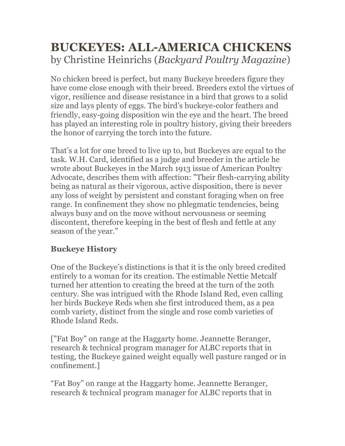# **BUCKEYES: ALL-AMERICA CHICKENS** by Christine Heinrichs (*Backyard Poultry Magazine*)

No chicken breed is perfect, but many Buckeye breeders figure they have come close enough with their breed. Breeders extol the virtues of vigor, resilience and disease resistance in a bird that grows to a solid size and lays plenty of eggs. The bird's buckeye-color feathers and friendly, easy-going disposition win the eye and the heart. The breed has played an interesting role in poultry history, giving their breeders the honor of carrying the torch into the future.

That's a lot for one breed to live up to, but Buckeyes are equal to the task. W.H. Card, identified as a judge and breeder in the article he wrote about Buckeyes in the March 1913 issue of American Poultry Advocate, describes them with affection: "Their flesh-carrying ability being as natural as their vigorous, active disposition, there is never any loss of weight by persistent and constant foraging when on free range. In confinement they show no phlegmatic tendencies, being always busy and on the move without nervousness or seeming discontent, therefore keeping in the best of flesh and fettle at any season of the year."

## **Buckeye History**

One of the Buckeye's distinctions is that it is the only breed credited entirely to a woman for its creation. The estimable Nettie Metcalf turned her attention to creating the breed at the turn of the 20th century. She was intrigued with the Rhode Island Red, even calling her birds Buckeye Reds when she first introduced them, as a pea comb variety, distinct from the single and rose comb varieties of Rhode Island Reds.

["Fat Boy" on range at the Haggarty home. Jeannette Beranger, research & technical program manager for ALBC reports that in testing, the Buckeye gained weight equally well pasture ranged or in confinement.]

"Fat Boy" on range at the Haggarty home. Jeannette Beranger, research & technical program manager for ALBC reports that in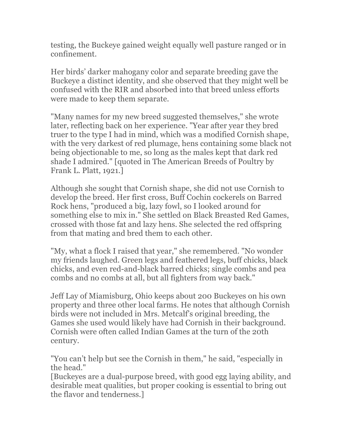testing, the Buckeye gained weight equally well pasture ranged or in confinement.

Her birds' darker mahogany color and separate breeding gave the Buckeye a distinct identity, and she observed that they might well be confused with the RIR and absorbed into that breed unless efforts were made to keep them separate.

"Many names for my new breed suggested themselves," she wrote later, reflecting back on her experience. "Year after year they bred truer to the type I had in mind, which was a modified Cornish shape, with the very darkest of red plumage, hens containing some black not being objectionable to me, so long as the males kept that dark red shade I admired." [quoted in The American Breeds of Poultry by Frank L. Platt, 1921.]

Although she sought that Cornish shape, she did not use Cornish to develop the breed. Her first cross, Buff Cochin cockerels on Barred Rock hens, "produced a big, lazy fowl, so I looked around for something else to mix in." She settled on Black Breasted Red Games, crossed with those fat and lazy hens. She selected the red offspring from that mating and bred them to each other.

"My, what a flock I raised that year," she remembered. "No wonder my friends laughed. Green legs and feathered legs, buff chicks, black chicks, and even red-and-black barred chicks; single combs and pea combs and no combs at all, but all fighters from way back."

Jeff Lay of Miamisburg, Ohio keeps about 200 Buckeyes on his own property and three other local farms. He notes that although Cornish birds were not included in Mrs. Metcalf's original breeding, the Games she used would likely have had Cornish in their background. Cornish were often called Indian Games at the turn of the 20th century.

"You can't help but see the Cornish in them," he said, "especially in the head."

[Buckeyes are a dual-purpose breed, with good egg laying ability, and desirable meat qualities, but proper cooking is essential to bring out the flavor and tenderness.]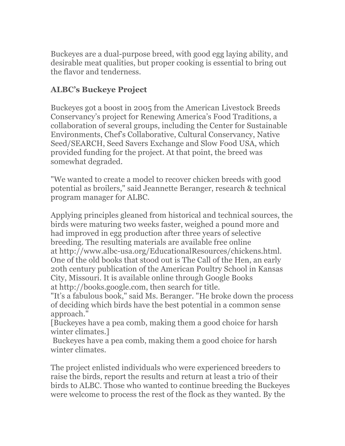Buckeyes are a dual-purpose breed, with good egg laying ability, and desirable meat qualities, but proper cooking is essential to bring out the flavor and tenderness.

#### **ALBC's Buckeye Project**

Buckeyes got a boost in 2005 from the American Livestock Breeds Conservancy's project for Renewing America's Food Traditions, a collaboration of several groups, including the Center for Sustainable Environments, Chef's Collaborative, Cultural Conservancy, Native Seed/SEARCH, Seed Savers Exchange and Slow Food USA, which provided funding for the project. At that point, the breed was somewhat degraded.

"We wanted to create a model to recover chicken breeds with good potential as broilers," said Jeannette Beranger, research & technical program manager for ALBC.

Applying principles gleaned from historical and technical sources, the birds were maturing two weeks faster, weighed a pound more and had improved in egg production after three years of selective breeding. The resulting materials are available free online at http://www.albc-usa.org/EducationalResources/chickens.html. One of the old books that stood out is The Call of the Hen, an early 20th century publication of the American Poultry School in Kansas City, Missouri. It is available online through Google Books at http://books.google.com, then search for title.

"It's a fabulous book," said Ms. Beranger. "He broke down the process of deciding which birds have the best potential in a common sense approach."

[Buckeyes have a pea comb, making them a good choice for harsh winter climates.]

Buckeyes have a pea comb, making them a good choice for harsh winter climates.

The project enlisted individuals who were experienced breeders to raise the birds, report the results and return at least a trio of their birds to ALBC. Those who wanted to continue breeding the Buckeyes were welcome to process the rest of the flock as they wanted. By the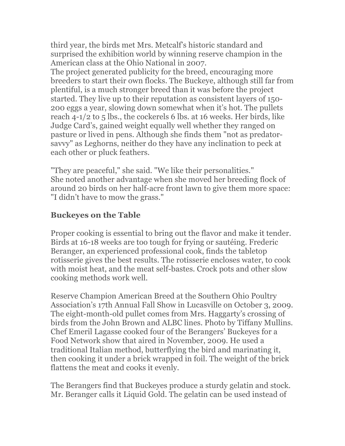third year, the birds met Mrs. Metcalf's historic standard and surprised the exhibition world by winning reserve champion in the American class at the Ohio National in 2007.

The project generated publicity for the breed, encouraging more breeders to start their own flocks. The Buckeye, although still far from plentiful, is a much stronger breed than it was before the project started. They live up to their reputation as consistent layers of 150- 200 eggs a year, slowing down somewhat when it's hot. The pullets reach 4-1/2 to 5 lbs., the cockerels 6 lbs. at 16 weeks. Her birds, like Judge Card's, gained weight equally well whether they ranged on pasture or lived in pens. Although she finds them "not as predatorsavvy" as Leghorns, neither do they have any inclination to peck at each other or pluck feathers.

"They are peaceful," she said. "We like their personalities." She noted another advantage when she moved her breeding flock of around 20 birds on her half-acre front lawn to give them more space: "I didn't have to mow the grass."

#### **Buckeyes on the Table**

Proper cooking is essential to bring out the flavor and make it tender. Birds at 16-18 weeks are too tough for frying or sautéing. Frederic Beranger, an experienced professional cook, finds the tabletop rotisserie gives the best results. The rotisserie encloses water, to cook with moist heat, and the meat self-bastes. Crock pots and other slow cooking methods work well.

Reserve Champion American Breed at the Southern Ohio Poultry Association's 17th Annual Fall Show in Lucasville on October 3, 2009. The eight-month-old pullet comes from Mrs. Haggarty's crossing of birds from the John Brown and ALBC lines. Photo by Tiffany Mullins. Chef Emeril Lagasse cooked four of the Berangers' Buckeyes for a Food Network show that aired in November, 2009. He used a traditional Italian method, butterflying the bird and marinating it, then cooking it under a brick wrapped in foil. The weight of the brick flattens the meat and cooks it evenly.

The Berangers find that Buckeyes produce a sturdy gelatin and stock. Mr. Beranger calls it Liquid Gold. The gelatin can be used instead of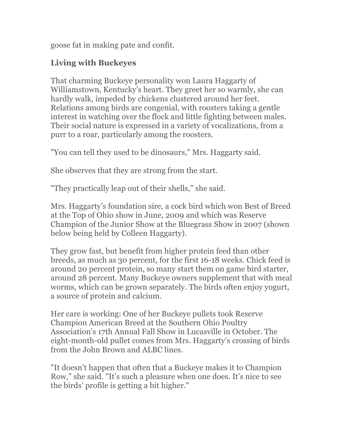goose fat in making pate and confit.

### **Living with Buckeyes**

That charming Buckeye personality won Laura Haggarty of Williamstown, Kentucky's heart. They greet her so warmly, she can hardly walk, impeded by chickens clustered around her feet. Relations among birds are congenial, with roosters taking a gentle interest in watching over the flock and little fighting between males. Their social nature is expressed in a variety of vocalizations, from a purr to a roar, particularly among the roosters.

"You can tell they used to be dinosaurs," Mrs. Haggarty said.

She observes that they are strong from the start.

"They practically leap out of their shells," she said.

Mrs. Haggarty's foundation sire, a cock bird which won Best of Breed at the Top of Ohio show in June, 2009 and which was Reserve Champion of the Junior Show at the Bluegrass Show in 2007 (shown below being held by Colleen Haggarty).

They grow fast, but benefit from higher protein feed than other breeds, as much as 30 percent, for the first 16-18 weeks. Chick feed is around 20 percent protein, so many start them on game bird starter, around 28 percent. Many Buckeye owners supplement that with meal worms, which can be grown separately. The birds often enjoy yogurt, a source of protein and calcium.

Her care is working: One of her Buckeye pullets took Reserve Champion American Breed at the Southern Ohio Poultry Association's 17th Annual Fall Show in Lucasville in October. The eight-month-old pullet comes from Mrs. Haggarty's crossing of birds from the John Brown and ALBC lines.

"It doesn't happen that often that a Buckeye makes it to Champion Row," she said. "It's such a pleasure when one does. It's nice to see the birds' profile is getting a bit higher."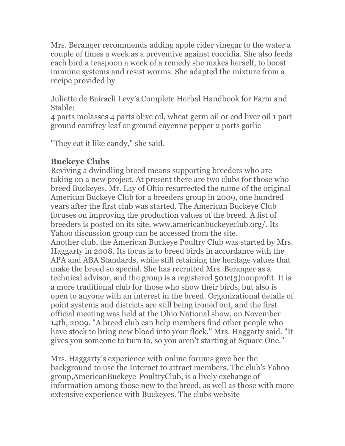Mrs. Beranger recommends adding apple cider vinegar to the water a couple of times a week as a preventive against coccidia. She also feeds each bird a teaspoon a week of a remedy she makes herself, to boost immune systems and resist worms. She adapted the mixture from a recipe provided by

Juliette de Bairacli Levy's Complete Herbal Handbook for Farm and Stable:

4 parts molasses 4 parts olive oil, wheat germ oil or cod liver oil 1 part ground comfrey leaf or ground cayenne pepper 2 parts garlic

"They eat it like candy," she said.

#### **Buckeye Clubs**

Reviving a dwindling breed means supporting breeders who are taking on a new project. At present there are two clubs for those who breed Buckeyes. Mr. Lay of Ohio resurrected the name of the original American Buckeye Club for a breeders group in 2009, one hundred years after the first club was started. The American Buckeye Club focuses on improving the production values of the breed. A list of breeders is posted on its site, www.americanbuckeyeclub.org/. Its Yahoo discussion group can be accessed from the site. Another club, the American Buckeye Poultry Club was started by Mrs. Haggarty in 2008. Its focus is to breed birds in accordance with the APA and ABA Standards, while still retaining the heritage values that make the breed so special. She has recruited Mrs. Beranger as a technical advisor, and the group is a registered 501c(3)nonprofit. It is a more traditional club for those who show their birds, but also is open to anyone with an interest in the breed. Organizational details of point systems and districts are still being ironed out, and the first official meeting was held at the Ohio National show, on November 14th, 2009. "A breed club can help members find other people who have stock to bring new blood into your flock," Mrs. Haggarty said. "It gives you someone to turn to, so you aren't starting at Square One."

Mrs. Haggarty's experience with online forums gave her the background to use the Internet to attract members. The club's Yahoo group,AmericanBuckeye-PoultryClub, is a lively exchange of information among those new to the breed, as well as those with more extensive experience with Buckeyes. The clubs website